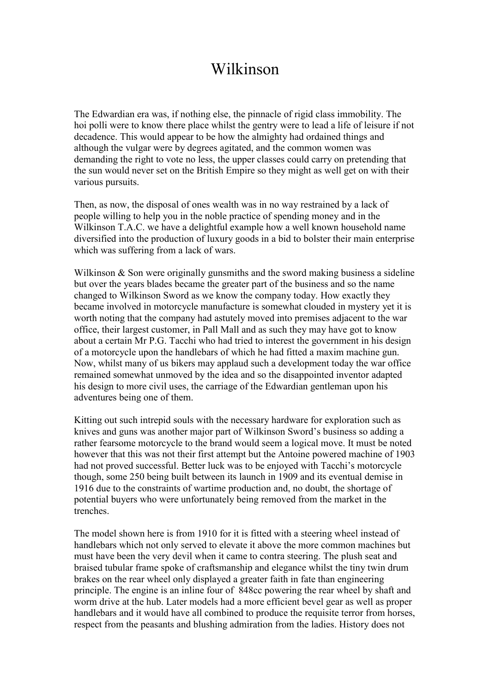## Wilkinson

The Edwardian era was, if nothing else, the pinnacle of rigid class immobility. The hoi polli were to know there place whilst the gentry were to lead a life of leisure if not decadence. This would appear to be how the almighty had ordained things and although the vulgar were by degrees agitated, and the common women was demanding the right to vote no less, the upper classes could carry on pretending that the sun would never set on the British Empire so they might as well get on with their various pursuits.

Then, as now, the disposal of ones wealth was in no way restrained by a lack of people willing to help you in the noble practice of spending money and in the Wilkinson T.A.C. we have a delightful example how a well known household name diversified into the production of luxury goods in a bid to bolster their main enterprise which was suffering from a lack of wars.

Wilkinson & Son were originally gunsmiths and the sword making business a sideline but over the years blades became the greater part of the business and so the name changed to Wilkinson Sword as we know the company today. How exactly they became involved in motorcycle manufacture is somewhat clouded in mystery yet it is worth noting that the company had astutely moved into premises adjacent to the war office, their largest customer, in Pall Mall and as such they may have got to know about a certain Mr P.G. Tacchi who had tried to interest the government in his design of a motorcycle upon the handlebars of which he had fitted a maxim machine gun. Now, whilst many of us bikers may applaud such a development today the war office remained somewhat unmoved by the idea and so the disappointed inventor adapted his design to more civil uses, the carriage of the Edwardian gentleman upon his adventures being one of them.

Kitting out such intrepid souls with the necessary hardware for exploration such as knives and guns was another major part of Wilkinson Sword's business so adding a rather fearsome motorcycle to the brand would seem a logical move. It must be noted however that this was not their first attempt but the Antoine powered machine of 1903 had not proved successful. Better luck was to be enjoyed with Tacchi's motorcycle though, some 250 being built between its launch in 1909 and its eventual demise in 1916 due to the constraints of wartime production and, no doubt, the shortage of potential buyers who were unfortunately being removed from the market in the trenches.

The model shown here is from 1910 for it is fitted with a steering wheel instead of handlebars which not only served to elevate it above the more common machines but must have been the very devil when it came to contra steering. The plush seat and braised tubular frame spoke of craftsmanship and elegance whilst the tiny twin drum brakes on the rear wheel only displayed a greater faith in fate than engineering principle. The engine is an inline four of 848cc powering the rear wheel by shaft and worm drive at the hub. Later models had a more efficient bevel gear as well as proper handlebars and it would have all combined to produce the requisite terror from horses, respect from the peasants and blushing admiration from the ladies. History does not